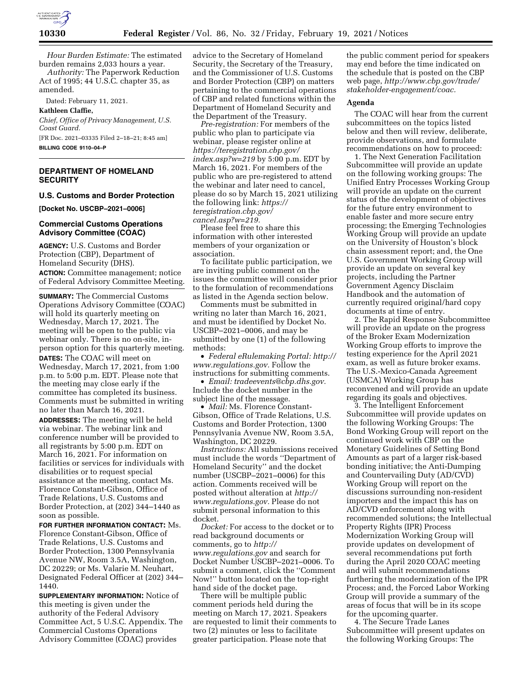

*Hour Burden Estimate:* The estimated burden remains 2,033 hours a year. *Authority:* The Paperwork Reduction

Act of 1995; 44 U.S.C. chapter 35, as amended.

Dated: February 11, 2021.

**Kathleen Claffie,** 

*Chief, Office of Privacy Management, U.S. Coast Guard.* 

[FR Doc. 2021–03335 Filed 2–18–21; 8:45 am] **BILLING CODE 9110–04–P** 

# **DEPARTMENT OF HOMELAND SECURITY**

## **U.S. Customs and Border Protection**

**[Docket No. USCBP–2021–0006]** 

### **Commercial Customs Operations Advisory Committee (COAC)**

**AGENCY:** U.S. Customs and Border Protection (CBP), Department of Homeland Security (DHS). **ACTION:** Committee management; notice of Federal Advisory Committee Meeting.

**SUMMARY:** The Commercial Customs Operations Advisory Committee (COAC) will hold its quarterly meeting on Wednesday, March 17, 2021. The meeting will be open to the public via webinar only. There is no on-site, inperson option for this quarterly meeting. **DATES:** The COAC will meet on Wednesday, March 17, 2021, from 1:00 p.m. to 5:00 p.m. EDT. Please note that the meeting may close early if the committee has completed its business. Comments must be submitted in writing no later than March 16, 2021.

**ADDRESSES:** The meeting will be held via webinar. The webinar link and conference number will be provided to all registrants by 5:00 p.m. EDT on March 16, 2021. For information on facilities or services for individuals with disabilities or to request special assistance at the meeting, contact Ms. Florence Constant-Gibson, Office of Trade Relations, U.S. Customs and Border Protection, at (202) 344–1440 as soon as possible.

**FOR FURTHER INFORMATION CONTACT:** Ms. Florence Constant-Gibson, Office of Trade Relations, U.S. Customs and Border Protection, 1300 Pennsylvania Avenue NW, Room 3.5A, Washington, DC 20229; or Ms. Valarie M. Neuhart, Designated Federal Officer at (202) 344– 1440.

**SUPPLEMENTARY INFORMATION:** Notice of this meeting is given under the authority of the Federal Advisory Committee Act, 5 U.S.C. Appendix. The Commercial Customs Operations Advisory Committee (COAC) provides

advice to the Secretary of Homeland Security, the Secretary of the Treasury, and the Commissioner of U.S. Customs and Border Protection (CBP) on matters pertaining to the commercial operations of CBP and related functions within the Department of Homeland Security and the Department of the Treasury.

*Pre-registration:* For members of the public who plan to participate via webinar, please register online at *[https://teregistration.cbp.gov/](https://teregistration.cbp.gov/index.asp?w=219)  [index.asp?w=219](https://teregistration.cbp.gov/index.asp?w=219)* by 5:00 p.m. EDT by March 16, 2021. For members of the public who are pre-registered to attend the webinar and later need to cancel, please do so by March 15, 2021 utilizing the following link: *[https://](https://teregistration.cbp.gov/cancel.asp?w=219) [teregistration.cbp.gov/](https://teregistration.cbp.gov/cancel.asp?w=219) [cancel.asp?w=219.](https://teregistration.cbp.gov/cancel.asp?w=219)* 

Please feel free to share this information with other interested members of your organization or association.

To facilitate public participation, we are inviting public comment on the issues the committee will consider prior to the formulation of recommendations as listed in the Agenda section below.

Comments must be submitted in writing no later than March 16, 2021, and must be identified by Docket No. USCBP–2021–0006, and may be submitted by one (1) of the following methods:

• *Federal eRulemaking Portal: [http://](http://www.regulations.gov)  [www.regulations.gov.](http://www.regulations.gov)* Follow the instructions for submitting comments.

• *Email: [tradeevents@cbp.dhs.gov.](mailto:tradeevents@cbp.dhs.gov)*  Include the docket number in the subject line of the message.

• *Mail:* Ms. Florence Constant-Gibson, Office of Trade Relations, U.S. Customs and Border Protection, 1300 Pennsylvania Avenue NW, Room 3.5A, Washington, DC 20229.

*Instructions:* All submissions received must include the words ''Department of Homeland Security'' and the docket number (USCBP–2021–0006) for this action. Comments received will be posted without alteration at *[http://](http://www.regulations.gov) [www.regulations.gov.](http://www.regulations.gov)* Please do not submit personal information to this docket.

*Docket:* For access to the docket or to read background documents or comments, go to *[http://](http://www.regulations.gov) [www.regulations.gov](http://www.regulations.gov)* and search for Docket Number USCBP–2021–0006. To submit a comment, click the ''Comment Now!'' button located on the top-right hand side of the docket page.

There will be multiple public comment periods held during the meeting on March 17, 2021. Speakers are requested to limit their comments to two (2) minutes or less to facilitate greater participation. Please note that

the public comment period for speakers may end before the time indicated on the schedule that is posted on the CBP web page, *[http://www.cbp.gov/trade/](http://www.cbp.gov/trade/stakeholder-engagement/coac) [stakeholder-engagement/coac.](http://www.cbp.gov/trade/stakeholder-engagement/coac)* 

## **Agenda**

The COAC will hear from the current subcommittees on the topics listed below and then will review, deliberate, provide observations, and formulate recommendations on how to proceed:

1. The Next Generation Facilitation Subcommittee will provide an update on the following working groups: The Unified Entry Processes Working Group will provide an update on the current status of the development of objectives for the future entry environment to enable faster and more secure entry processing; the Emerging Technologies Working Group will provide an update on the University of Houston's block chain assessment report; and, the One U.S. Government Working Group will provide an update on several key projects, including the Partner Government Agency Disclaim Handbook and the automation of currently required original/hard copy documents at time of entry.

2. The Rapid Response Subcommittee will provide an update on the progress of the Broker Exam Modernization Working Group efforts to improve the testing experience for the April 2021 exam, as well as future broker exams. The U.S.-Mexico-Canada Agreement (USMCA) Working Group has reconvened and will provide an update regarding its goals and objectives.

3. The Intelligent Enforcement Subcommittee will provide updates on the following Working Groups: The Bond Working Group will report on the continued work with CBP on the Monetary Guidelines of Setting Bond Amounts as part of a larger risk-based bonding initiative; the Anti-Dumping and Countervailing Duty (AD/CVD) Working Group will report on the discussions surrounding non-resident importers and the impact this has on AD/CVD enforcement along with recommended solutions; the Intellectual Property Rights (IPR) Process Modernization Working Group will provide updates on development of several recommendations put forth during the April 2020 COAC meeting and will submit recommendations furthering the modernization of the IPR Process; and, the Forced Labor Working Group will provide a summary of the areas of focus that will be in its scope for the upcoming quarter.

4. The Secure Trade Lanes Subcommittee will present updates on the following Working Groups: The